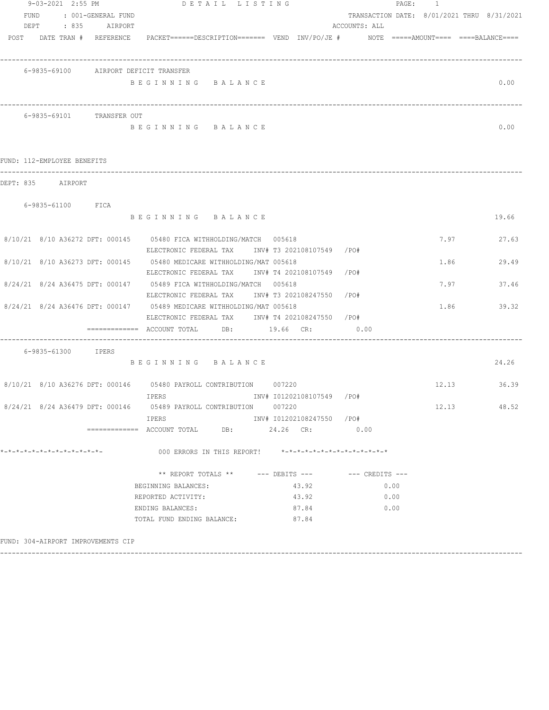| 9-03-2021 2:55 PM            |      |  |                                          | DETAIL LISTING                                                                                                            |  |                           |               |                 |      |                                            |       |             |
|------------------------------|------|--|------------------------------------------|---------------------------------------------------------------------------------------------------------------------------|--|---------------------------|---------------|-----------------|------|--------------------------------------------|-------|-------------|
|                              | FUND |  | : 001-GENERAL FUND<br>DEPT : 835 AIRPORT |                                                                                                                           |  |                           | ACCOUNTS: ALL |                 |      | TRANSACTION DATE: 8/01/2021 THRU 8/31/2021 |       |             |
|                              |      |  |                                          | POST DATE TRAN # REFERENCE PACKET======DESCRIPTION======= VEND INV/PO/JE # NOTE =====AMOUNT==== ====BALANCE====           |  |                           |               |                 |      |                                            |       |             |
|                              |      |  |                                          | 6-9835-69100 AIRPORT DEFICIT TRANSFER                                                                                     |  |                           |               |                 |      |                                            |       |             |
|                              |      |  |                                          | BEGINNING BALANCE                                                                                                         |  |                           |               |                 |      |                                            |       | 0.00        |
|                              |      |  | 6-9835-69101 TRANSFER OUT                |                                                                                                                           |  |                           |               |                 |      |                                            |       |             |
|                              |      |  |                                          | BEGINNING BALANCE                                                                                                         |  |                           |               |                 |      |                                            |       | 0.00        |
| FUND: 112-EMPLOYEE BENEFITS  |      |  |                                          |                                                                                                                           |  |                           |               |                 |      |                                            |       |             |
| DEPT: 835 AIRPORT            |      |  |                                          |                                                                                                                           |  |                           |               |                 |      |                                            |       |             |
|                              |      |  | 6-9835-61100 FICA                        | BEGINNING BALANCE                                                                                                         |  |                           |               |                 |      |                                            |       | 19.66       |
|                              |      |  |                                          | 8/10/21 8/10 A36272 DFT: 000145 05480 FICA WITHHOLDING/MATCH 005618<br>ELECTRONIC FEDERAL TAX INV# T3 202108107549 /PO#   |  |                           |               |                 |      |                                            | 7.97  | 27.63       |
|                              |      |  |                                          | 8/10/21 8/10 A36273 DFT: 000145 05480 MEDICARE WITHHOLDING/MAT 005618<br>ELECTRONIC FEDERAL TAX 1NV# T4 202108107549 /PO# |  |                           |               |                 |      |                                            | 1.86  | 29.49       |
|                              |      |  |                                          | 8/24/21 8/24 A36475 DFT: 000147 05489 FICA WITHHOLDING/MATCH 005618<br>ELECTRONIC FEDERAL TAX 1NV# T3 202108247550 /PO#   |  |                           |               |                 |      |                                            | 7.97  | 37.46       |
|                              |      |  |                                          | 8/24/21 8/24 A36476 DFT: 000147 05489 MEDICARE WITHHOLDING/MAT 005618<br>ELECTRONIC FEDERAL TAX INV# T4 202108247550 /PO# |  |                           |               |                 |      | 1.86                                       |       | 39.32       |
|                              |      |  |                                          | ============= ACCOUNT TOTAL DB: 19.66 CR: 0.00                                                                            |  |                           |               |                 |      |                                            |       |             |
|                              |      |  | 6-9835-61300 IPERS                       | BEGINNING BALANCE                                                                                                         |  |                           |               |                 |      |                                            |       | 24.26       |
|                              |      |  |                                          | 8/10/21 8/10 A36276 DFT: 000146 05480 PAYROLL CONTRIBUTION 007220                                                         |  |                           |               |                 |      |                                            |       | 12.13 36.39 |
|                              |      |  |                                          | 8/24/21 8/24 A36479 DFT: 000146 05489 PAYROLL CONTRIBUTION 007220<br>IPERS                                                |  | INV# I01202108247550 /PO# |               |                 |      |                                            | 12.13 | 48.52       |
| *-*-*-*-*-*-*-*-*-*-*-*-*-*- |      |  |                                          | ============ ACCOUNT TOTAL DB: 24.26 CR: 0.00<br>000 ERRORS IN THIS REPORT! *-*-*-*-*-*-*-*-*-*-*-*-*-*-                  |  |                           |               |                 |      |                                            |       |             |
|                              |      |  |                                          | ** REPORT TOTALS ** --- DEBITS ---                                                                                        |  |                           |               | --- CREDITS --- |      |                                            |       |             |
|                              |      |  |                                          | BEGINNING BALANCES:                                                                                                       |  | 43.92                     |               |                 | 0.00 |                                            |       |             |
|                              |      |  |                                          | REPORTED ACTIVITY:                                                                                                        |  | 43.92                     |               | 0.00            |      |                                            |       |             |
|                              |      |  |                                          | ENDING BALANCES:                                                                                                          |  | 87.84                     |               | 0.00            |      |                                            |       |             |
|                              |      |  |                                          | TOTAL FUND ENDING BALANCE: 87.84                                                                                          |  |                           |               |                 |      |                                            |       |             |
|                              |      |  | FUND: 304-AIRPORT IMPROVEMENTS CIP       |                                                                                                                           |  |                           |               |                 |      |                                            |       |             |

------------------------------------------------------------------------------------------------------------------------------------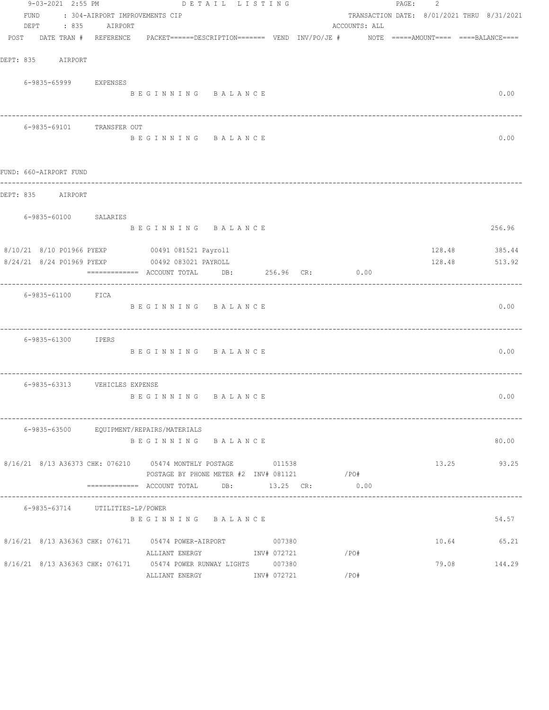| 9-03-2021 2:55 PM               | DETAIL LISTING                                                                                                  |               | PAGE:                                      | -2            |        |
|---------------------------------|-----------------------------------------------------------------------------------------------------------------|---------------|--------------------------------------------|---------------|--------|
| FUND                            | : 304-AIRPORT IMPROVEMENTS CIP                                                                                  |               | TRANSACTION DATE: 8/01/2021 THRU 8/31/2021 |               |        |
| DEPT : 835                      | AIRPORT                                                                                                         | ACCOUNTS: ALL |                                            |               |        |
|                                 | POST DATE TRAN # REFERENCE PACKET======DESCRIPTION======= VEND INV/PO/JE # NOTE =====AMOUNT==== ====BALANCE==== |               |                                            |               |        |
|                                 |                                                                                                                 |               |                                            |               |        |
| DEPT: 835 AIRPORT               |                                                                                                                 |               |                                            |               |        |
|                                 |                                                                                                                 |               |                                            |               |        |
| 6-9835-65999 EXPENSES           |                                                                                                                 |               |                                            |               |        |
|                                 | BEGINNING BALANCE                                                                                               |               |                                            |               | 0.00   |
|                                 |                                                                                                                 |               |                                            |               |        |
|                                 |                                                                                                                 |               |                                            |               |        |
| 6-9835-69101 TRANSFER OUT       | BEGINNING BALANCE                                                                                               |               |                                            |               | 0.00   |
|                                 |                                                                                                                 |               |                                            |               |        |
|                                 |                                                                                                                 |               |                                            |               |        |
| FUND: 660-AIRPORT FUND          |                                                                                                                 |               |                                            |               |        |
|                                 |                                                                                                                 |               |                                            |               |        |
| DEPT: 835 AIRPORT               |                                                                                                                 |               |                                            |               |        |
|                                 |                                                                                                                 |               |                                            |               |        |
| 6-9835-60100 SALARIES           |                                                                                                                 |               |                                            |               |        |
|                                 | BEGINNING BALANCE                                                                                               |               |                                            |               | 256.96 |
|                                 |                                                                                                                 |               |                                            |               |        |
|                                 | 8/10/21 8/10 P01966 PYEXP 00491 081521 Payroll                                                                  |               |                                            | 128.48 385.44 |        |
|                                 | 8/24/21 8/24 P01969 PYEXP 00492 083021 PAYROLL                                                                  |               |                                            | 128.48 513.92 |        |
|                                 | ============ ACCOUNT TOTAL DB: 256.96 CR: 0.00                                                                  |               |                                            |               |        |
| 6-9835-61100 FICA               |                                                                                                                 |               |                                            |               |        |
|                                 | BEGINNING BALANCE                                                                                               |               |                                            |               | 0.00   |
|                                 |                                                                                                                 |               |                                            |               |        |
|                                 |                                                                                                                 |               |                                            |               |        |
| 6-9835-61300 IPERS              |                                                                                                                 |               |                                            |               |        |
|                                 | BEGINNING BALANCE                                                                                               |               |                                            |               | 0.00   |
|                                 |                                                                                                                 |               |                                            |               |        |
|                                 |                                                                                                                 |               |                                            |               |        |
| 6-9835-63313 VEHICLES EXPENSE   |                                                                                                                 |               |                                            |               |        |
|                                 | BEGINNING BALANCE                                                                                               |               |                                            |               | 0.00   |
|                                 |                                                                                                                 |               |                                            |               |        |
|                                 | 6-9835-63500 EQUIPMENT/REPAIRS/MATERIALS                                                                        |               |                                            |               |        |
|                                 | BEGINNING BALANCE                                                                                               |               |                                            |               | 80.00  |
|                                 |                                                                                                                 |               |                                            |               |        |
|                                 | 8/16/21 8/13 A36373 CHK: 076210 05474 MONTHLY POSTAGE 011538                                                    |               |                                            | 13.25         | 93.25  |
|                                 | POSTAGE BY PHONE METER #2 INV# 081121                                                                           |               | / PO#                                      |               |        |
|                                 | ============= ACCOUNT TOTAL<br>DB:                                                                              | 13.25 CR:     | 0.00                                       |               |        |
|                                 |                                                                                                                 |               |                                            |               |        |
| 6-9835-63714 UTILITIES-LP/POWER |                                                                                                                 |               |                                            |               |        |
|                                 | BEGINNING BALANCE                                                                                               |               |                                            |               | 54.57  |
|                                 |                                                                                                                 |               |                                            |               |        |
|                                 | 8/16/21 8/13 A36363 CHK: 076171 05474 POWER-AIRPORT 007380                                                      |               |                                            | 10.64 65.21   |        |
|                                 | ALLIANT ENERGY NOTION INV# 072721                                                                               |               | /PO#                                       |               |        |
|                                 | 8/16/21 8/13 A36363 CHK: 076171 05474 POWER RUNWAY LIGHTS 007380                                                |               |                                            | 79.08 144.29  |        |
|                                 | ALLIANT ENERGY                                                                                                  | INV# 072721   | /PO#                                       |               |        |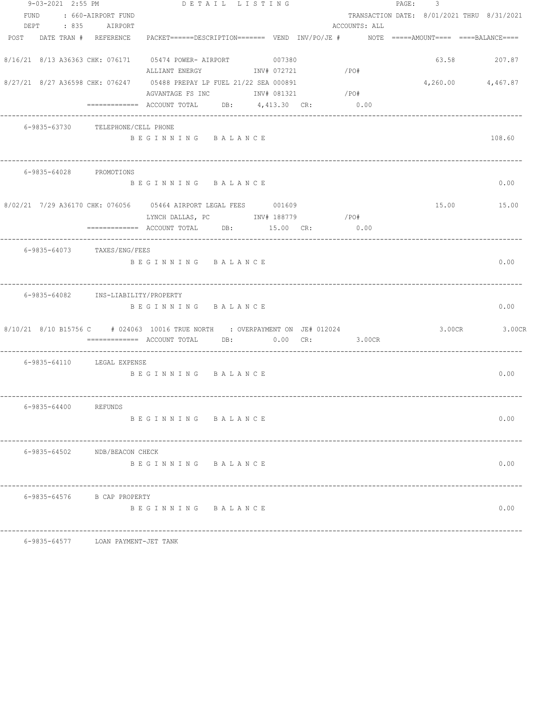|      | 9-03-2021 2:55 PM |                                     | DETAIL LISTING                                                                                       |  | PAGE: | 3             |  |       |                                            |
|------|-------------------|-------------------------------------|------------------------------------------------------------------------------------------------------|--|-------|---------------|--|-------|--------------------------------------------|
| FUND |                   | : 660-AIRPORT FUND                  |                                                                                                      |  |       |               |  |       | TRANSACTION DATE: 8/01/2021 THRU 8/31/2021 |
|      |                   | DEPT : 835 AIRPORT                  |                                                                                                      |  |       | ACCOUNTS: ALL |  |       |                                            |
|      |                   | POST DATE TRAN # REFERENCE          | $\verb PACKET====-DESCRIPTION====== VEND   INV/PO/JE  #   NOTE  == ==+AMOUNT===  == = BALANCE == ==$ |  |       |               |  |       |                                            |
|      |                   |                                     | 8/16/21 8/13 A36363 CHK: 076171 05474 POWER- AIRPORT 007380                                          |  |       |               |  | 63.58 | 207.87                                     |
|      |                   |                                     | ALLIANT ENERGY NATIONAL TINV# 072721                                                                 |  |       | / PO#         |  |       |                                            |
|      |                   |                                     | 8/27/21 8/27 A36598 CHK: 076247 05488 PREPAY LP FUEL 21/22 SEA 000891                                |  |       |               |  |       | 4,260.00 4,467.87                          |
|      |                   |                                     | AGVANTAGE FS INC               INV# 081321                 /PO#                                      |  |       |               |  |       |                                            |
|      |                   |                                     | $\text{---}$ ========== ACCOUNT TOTAL DB: $4,413.30$ CR: $0.00$                                      |  |       |               |  |       |                                            |
|      |                   |                                     |                                                                                                      |  |       |               |  |       |                                            |
|      |                   | 6-9835-63730 TELEPHONE/CELL PHONE   | BEGINNING BALANCE                                                                                    |  |       |               |  |       | 108.60                                     |
|      |                   |                                     |                                                                                                      |  |       |               |  |       |                                            |
|      |                   | 6-9835-64028 PROMOTIONS             |                                                                                                      |  |       |               |  |       |                                            |
|      |                   |                                     | BEGINNING BALANCE                                                                                    |  |       |               |  |       | 0.00                                       |
|      |                   |                                     | 8/02/21 7/29 A36170 CHK: 076056 05464 AIRPORT LEGAL FEES 001609                                      |  |       |               |  |       | 15.00 15.00                                |
|      |                   |                                     |                                                                                                      |  |       |               |  |       |                                            |
|      |                   |                                     | $\texttt{-----}$ =========== ACCOUNT TOTAL DB: $\texttt{15.00} \quad \texttt{CR}:$                   |  |       | 0.00          |  |       |                                            |
|      |                   |                                     |                                                                                                      |  |       |               |  |       |                                            |
|      |                   | 6-9835-64073 TAXES/ENG/FEES         |                                                                                                      |  |       |               |  |       |                                            |
|      |                   |                                     | BEGINNING BALANCE                                                                                    |  |       |               |  |       | 0.00                                       |
|      |                   |                                     |                                                                                                      |  |       |               |  |       |                                            |
|      |                   | 6-9835-64082 INS-LIABILITY/PROPERTY |                                                                                                      |  |       |               |  |       |                                            |
|      |                   |                                     | BEGINNING BALANCE                                                                                    |  |       |               |  |       | 0.00                                       |
|      |                   |                                     |                                                                                                      |  |       |               |  |       |                                            |
|      |                   |                                     | 8/10/21 8/10 B15756 C # 024063 10016 TRUE NORTH : OVERPAYMENT ON JE# 012024                          |  |       |               |  |       | 3.00CR 3.00CR                              |
|      |                   |                                     | ============= ACCOUNT TOTAL DB: 0.00 CR: 3.00CR                                                      |  |       |               |  |       |                                            |
|      |                   |                                     |                                                                                                      |  |       |               |  |       |                                            |
|      |                   | 6-9835-64110 LEGAL EXPENSE          |                                                                                                      |  |       |               |  |       |                                            |
|      |                   |                                     | BEGINNING BALANCE                                                                                    |  |       |               |  |       | 0.00                                       |
|      |                   |                                     |                                                                                                      |  |       |               |  |       |                                            |
|      | 6-9835-64400      | REFUNDS                             |                                                                                                      |  |       |               |  |       |                                            |
|      |                   |                                     | BEGINNING BALANCE                                                                                    |  |       |               |  |       | 0.00                                       |
|      |                   |                                     |                                                                                                      |  |       |               |  |       |                                            |
|      | 6-9835-64502      | NDB/BEACON CHECK                    |                                                                                                      |  |       |               |  |       |                                            |
|      |                   |                                     | BEGINNING BALANCE                                                                                    |  |       |               |  |       | 0.00                                       |
|      |                   |                                     |                                                                                                      |  |       |               |  |       |                                            |
|      |                   | 6-9835-64576 B CAP PROPERTY         |                                                                                                      |  |       |               |  |       |                                            |
|      |                   |                                     | BEGINNING BALANCE                                                                                    |  |       |               |  |       | 0.00                                       |
|      |                   |                                     |                                                                                                      |  |       |               |  |       |                                            |
|      |                   |                                     |                                                                                                      |  |       |               |  |       |                                            |
|      |                   | 6-9835-64577 LOAN PAYMENT-JET TANK  |                                                                                                      |  |       |               |  |       |                                            |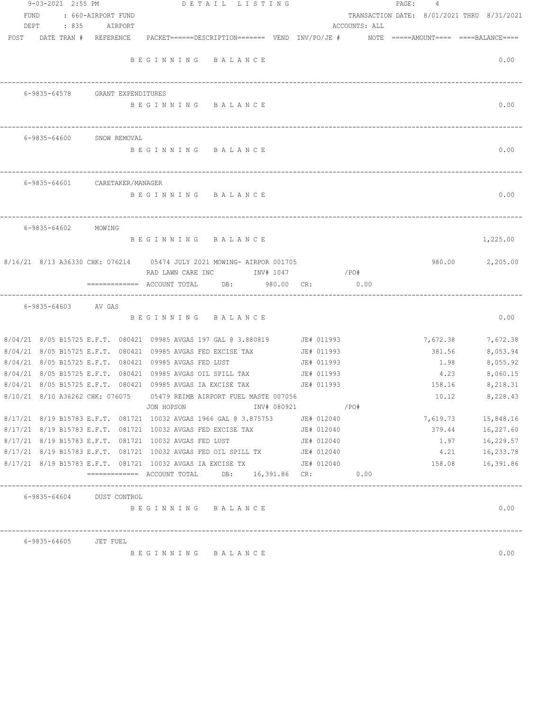|      | 9-03-2021 2:55 PM          |                                 |                                                                                                  | DETAIL LISTING                                                                                         |  |                   |                                            | PAGE: | 4                  |                    |
|------|----------------------------|---------------------------------|--------------------------------------------------------------------------------------------------|--------------------------------------------------------------------------------------------------------|--|-------------------|--------------------------------------------|-------|--------------------|--------------------|
| FUND |                            | : 660-AIRPORT FUND              |                                                                                                  |                                                                                                        |  |                   | TRANSACTION DATE: 8/01/2021 THRU 8/31/2021 |       |                    |                    |
| DEPT | $\therefore 835$           | AIRPORT                         |                                                                                                  |                                                                                                        |  |                   | ACCOUNTS: ALL                              |       |                    |                    |
|      | POST DATE TRAN # REFERENCE |                                 |                                                                                                  | $PACKET == == = DESCRIPTION == == == = VEND   INV/PO/JE #   NOTE   == ==+AMOUNT == == = BALANCE == ==$ |  |                   |                                            |       |                    |                    |
|      |                            |                                 |                                                                                                  |                                                                                                        |  |                   |                                            |       |                    |                    |
|      |                            |                                 | BEGINNING BALANCE                                                                                |                                                                                                        |  |                   |                                            |       |                    | 0.00               |
|      |                            |                                 |                                                                                                  |                                                                                                        |  |                   |                                            |       |                    |                    |
|      |                            |                                 |                                                                                                  |                                                                                                        |  |                   |                                            |       |                    |                    |
|      |                            | 6-9835-64578 GRANT EXPENDITURES |                                                                                                  |                                                                                                        |  |                   |                                            |       |                    |                    |
|      |                            |                                 | BEGINNING BALANCE                                                                                |                                                                                                        |  |                   |                                            |       |                    | 0.00               |
|      |                            |                                 |                                                                                                  |                                                                                                        |  |                   |                                            |       |                    |                    |
|      |                            |                                 |                                                                                                  |                                                                                                        |  |                   |                                            |       |                    |                    |
|      |                            |                                 |                                                                                                  |                                                                                                        |  |                   |                                            |       |                    |                    |
|      |                            | 6-9835-64600 SNOW REMOVAL       |                                                                                                  |                                                                                                        |  |                   |                                            |       |                    |                    |
|      |                            |                                 | BEGINNING BALANCE                                                                                |                                                                                                        |  |                   |                                            |       |                    | 0.00               |
|      |                            |                                 |                                                                                                  |                                                                                                        |  |                   |                                            |       |                    |                    |
|      |                            |                                 |                                                                                                  |                                                                                                        |  |                   |                                            |       |                    |                    |
|      |                            | 6-9835-64601 CARETAKER/MANAGER  |                                                                                                  |                                                                                                        |  |                   |                                            |       |                    |                    |
|      |                            |                                 | BEGINNING BALANCE                                                                                |                                                                                                        |  |                   |                                            |       |                    | 0.00               |
|      |                            |                                 |                                                                                                  |                                                                                                        |  |                   |                                            |       |                    |                    |
|      |                            |                                 |                                                                                                  |                                                                                                        |  |                   |                                            |       |                    |                    |
|      | 6-9835-64602 MOWING        |                                 |                                                                                                  |                                                                                                        |  |                   |                                            |       |                    |                    |
|      |                            |                                 | BEGINNING BALANCE                                                                                |                                                                                                        |  |                   |                                            |       |                    | 1,225.00           |
|      |                            |                                 |                                                                                                  |                                                                                                        |  |                   |                                            |       |                    |                    |
|      |                            |                                 | 8/16/21 8/13 A36330 CHK: 076214 05474 JULY 2021 MOWING- AIRPOR 001705                            |                                                                                                        |  |                   |                                            |       |                    | 980.00 2,205.00    |
|      |                            |                                 |                                                                                                  |                                                                                                        |  |                   |                                            |       |                    |                    |
|      |                            |                                 | -------------   ACCOUNT  TOTAL           DB:                980.00     CR:                  0.00 |                                                                                                        |  |                   |                                            |       |                    |                    |
|      |                            |                                 |                                                                                                  |                                                                                                        |  |                   |                                            |       |                    |                    |
|      | 6-9835-64603 AV GAS        |                                 |                                                                                                  |                                                                                                        |  |                   |                                            |       |                    |                    |
|      |                            |                                 | BEGINNING BALANCE                                                                                |                                                                                                        |  |                   |                                            |       |                    | 0.00               |
|      |                            |                                 |                                                                                                  |                                                                                                        |  |                   |                                            |       |                    |                    |
|      |                            |                                 | 8/04/21 8/05 B15725 E.F.T. 080421 09985 AVGAS 197 GAL @ 3.880819 JE# 011993                      |                                                                                                        |  |                   |                                            |       | 7,672.38           | 7,672.38           |
|      |                            |                                 | 8/04/21 8/05 B15725 E.F.T. 080421 09985 AVGAS FED EXCISE TAX                                     |                                                                                                        |  | JE# 011993        |                                            |       | 381.56             | 8,053.94           |
|      |                            |                                 | 8/04/21 8/05 B15725 E.F.T. 080421 09985 AVGAS FED LUST                                           |                                                                                                        |  | JE# 011993        |                                            |       | 1.98               | 8,055.92           |
|      |                            |                                 | 8/04/21 8/05 B15725 E.F.T. 080421 09985 AVGAS OIL SPILL TAX                                      |                                                                                                        |  | JE# 011993        |                                            |       | 4.23               | 8,060.15           |
|      |                            |                                 | 8/04/21 8/05 B15725 E.F.T. 080421 09985 AVGAS IA EXCISE TAX 500 JE# 011993                       |                                                                                                        |  |                   |                                            |       | 158.16             | 8,218.31           |
|      |                            |                                 |                                                                                                  |                                                                                                        |  |                   |                                            |       |                    |                    |
|      |                            |                                 | 8/10/21 8/10 A36262 CHK: 076075 05479 REIMB AIRPORT FUEL MASTE 007056                            |                                                                                                        |  |                   |                                            |       | 10.12              | 8,228.43           |
|      |                            |                                 | JON HOPSON                                                                                       |                                                                                                        |  | INV# 080921 / PO# |                                            |       |                    |                    |
|      |                            |                                 | 8/17/21 8/19 B15783 E.F.T. 081721 10032 AVGAS 1966 GAL @ 3.875753 JE# 012040                     |                                                                                                        |  |                   |                                            |       | 7,619.73 15,848.16 |                    |
|      |                            |                                 |                                                                                                  |                                                                                                        |  |                   |                                            |       |                    | 379.44 16,227.60   |
|      |                            |                                 | 8/17/21 8/19 B15783 E.F.T. 081721 10032 AVGAS FED LUST                                           |                                                                                                        |  | <b>JE# 012040</b> |                                            |       |                    | $1.97$ $16,229.57$ |
|      |                            |                                 | 8/17/21 8/19 B15783 E.F.T. 081721 10032 AVGAS FED OIL SPILL TX JE# 012040                        |                                                                                                        |  |                   |                                            |       |                    | 4.21 16,233.78     |
|      |                            |                                 | 8/17/21 8/19 B15783 E.F.T. 081721 10032 AVGAS IA EXCISE TX                                       |                                                                                                        |  | JE# 012040        |                                            |       |                    | 158.08 16,391.86   |
|      |                            |                                 | $\text{F}$ ============ ACCOUNT TOTAL DB: 16,391.86 CR: 0.00                                     |                                                                                                        |  |                   |                                            |       |                    |                    |
|      |                            |                                 |                                                                                                  |                                                                                                        |  |                   |                                            |       |                    |                    |
|      |                            | 6-9835-64604 DUST CONTROL       |                                                                                                  |                                                                                                        |  |                   |                                            |       |                    |                    |
|      |                            |                                 | BEGINNING BALANCE                                                                                |                                                                                                        |  |                   |                                            |       |                    | 0.00               |
|      |                            |                                 |                                                                                                  |                                                                                                        |  |                   |                                            |       |                    |                    |
|      |                            |                                 |                                                                                                  |                                                                                                        |  |                   |                                            |       |                    |                    |
|      | 6-9835-64605 JET FUEL      |                                 |                                                                                                  |                                                                                                        |  |                   |                                            |       |                    |                    |
|      |                            |                                 | BEGINNING BALANCE                                                                                |                                                                                                        |  |                   |                                            |       |                    | 0.00               |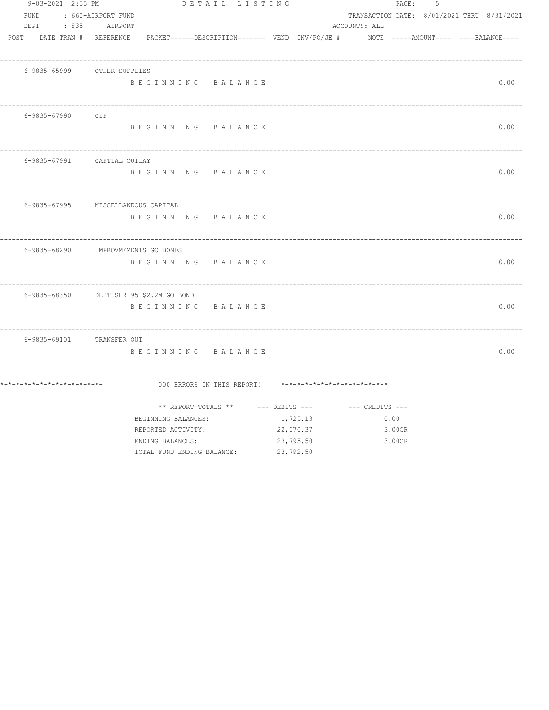| 9-03-2021 2:55 PM           | DETAIL LISTING                                                                                                 |                                                   | 5<br>PAGE:                                 |      |
|-----------------------------|----------------------------------------------------------------------------------------------------------------|---------------------------------------------------|--------------------------------------------|------|
| FUND                        | : 660-AIRPORT FUND                                                                                             |                                                   | TRANSACTION DATE: 8/01/2021 THRU 8/31/2021 |      |
| DEPT                        | : 835 AIRPORT                                                                                                  |                                                   | ACCOUNTS: ALL                              |      |
|                             | POST DATE TRAN # REFERENCE PACKET=====DESCRIPTION======= VEND INV/PO/JE # NOTE =====AMOUNT==== ====BALANCE==== |                                                   |                                            |      |
| 6-9835-65999 OTHER SUPPLIES |                                                                                                                |                                                   |                                            |      |
|                             | BEGINNING BALANCE                                                                                              |                                                   |                                            | 0.00 |
| 6-9835-67990 CIP            |                                                                                                                |                                                   |                                            |      |
|                             | BEGINNING BALANCE                                                                                              |                                                   |                                            | 0.00 |
| 6-9835-67991 CAPTIAL OUTLAY |                                                                                                                |                                                   |                                            |      |
|                             | BEGINNING BALANCE                                                                                              |                                                   |                                            | 0.00 |
|                             | 6-9835-67995 MISCELLANEOUS CAPITAL                                                                             |                                                   |                                            |      |
|                             | BEGINNING BALANCE                                                                                              |                                                   |                                            | 0.00 |
|                             | 6-9835-68290 IMPROVMEMENTS GO BONDS                                                                            |                                                   |                                            |      |
|                             | BEGINNING BALANCE                                                                                              |                                                   |                                            | 0.00 |
|                             | 6-9835-68350 DEBT SER 95 \$2.2M GO BOND                                                                        |                                                   |                                            |      |
|                             | BEGINNING BALANCE                                                                                              |                                                   |                                            | 0.00 |
| 6-9835-69101 TRANSFER OUT   |                                                                                                                |                                                   |                                            |      |
|                             | BEGINNING BALANCE                                                                                              |                                                   |                                            | 0.00 |
|                             | 000 ERRORS IN THIS REPORT! *-*-*-*-*-*-*-*-*-*-*-*-*-*-                                                        |                                                   |                                            |      |
|                             |                                                                                                                | ** REPORT TOTALS ** --- DEBITS --- -- CREDITS --- |                                            |      |
|                             | BEGINNING BALANCES:                                                                                            | 1,725.13                                          | 0.00                                       |      |
|                             | REPORTED ACTIVITY:                                                                                             | 22,070.37                                         | 3.00CR                                     |      |
|                             | ENDING BALANCES:                                                                                               | 23,795.50                                         | 3.00CR                                     |      |
|                             | TOTAL FUND ENDING BALANCE:                                                                                     | 23,792.50                                         |                                            |      |